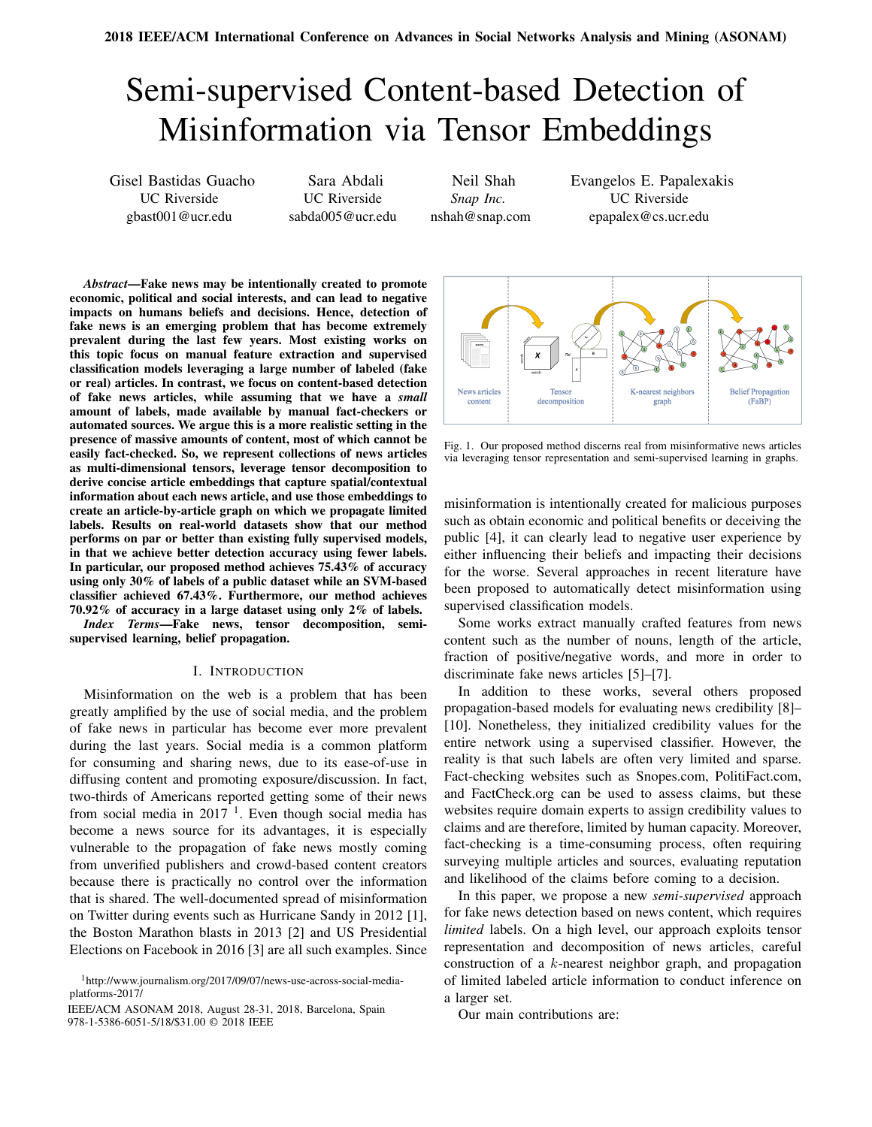# Semi-supervised Content-based Detection of Misinformation via Tensor Embeddings

Gisel Bastidas Guacho UC Riverside gbast001@ucr.edu

Sara Abdali UC Riverside sabda005@ucr.edu

Neil Shah *Snap Inc.* nshah@snap.com Evangelos E. Papalexakis UC Riverside epapalex@cs.ucr.edu

*Abstract*—Fake news may be intentionally created to promote economic, political and social interests, and can lead to negative impacts on humans beliefs and decisions. Hence, detection of fake news is an emerging problem that has become extremely prevalent during the last few years. Most existing works on this topic focus on manual feature extraction and supervised classification models leveraging a large number of labeled (fake or real) articles. In contrast, we focus on content-based detection of fake news articles, while assuming that we have a *small* amount of labels, made available by manual fact-checkers or automated sources. We argue this is a more realistic setting in the presence of massive amounts of content, most of which cannot be easily fact-checked. So, we represent collections of news articles as multi-dimensional tensors, leverage tensor decomposition to derive concise article embeddings that capture spatial/contextual information about each news article, and use those embeddings to create an article-by-article graph on which we propagate limited labels. Results on real-world datasets show that our method performs on par or better than existing fully supervised models, in that we achieve better detection accuracy using fewer labels. In particular, our proposed method achieves 75.43% of accuracy using only 30% of labels of a public dataset while an SVM-based classifier achieved 67.43%. Furthermore, our method achieves 70.92% of accuracy in a large dataset using only 2% of labels.

*Index Terms*—Fake news, tensor decomposition, semisupervised learning, belief propagation.

#### I. INTRODUCTION

Misinformation on the web is a problem that has been greatly amplified by the use of social media, and the problem of fake news in particular has become ever more prevalent during the last years. Social media is a common platform for consuming and sharing news, due to its ease-of-use in diffusing content and promoting exposure/discussion. In fact, two-thirds of Americans reported getting some of their news from social media in  $2017<sup>1</sup>$ . Even though social media has become a news source for its advantages, it is especially vulnerable to the propagation of fake news mostly coming from unverified publishers and crowd-based content creators because there is practically no control over the information that is shared. The well-documented spread of misinformation on Twitter during events such as Hurricane Sandy in 2012 [1], the Boston Marathon blasts in 2013 [2] and US Presidential Elections on Facebook in 2016 [3] are all such examples. Since

IEEE/ACM ASONAM 2018, August 28-31, 2018, Barcelona, Spain Our main contributions are: 978-1-5386-6051-5/18/\$31.00 © 2018 IEEE



Fig. 1. Our proposed method discerns real from misinformative news articles via leveraging tensor representation and semi-supervised learning in graphs.

misinformation is intentionally created for malicious purposes such as obtain economic and political benefits or deceiving the public [4], it can clearly lead to negative user experience by either influencing their beliefs and impacting their decisions for the worse. Several approaches in recent literature have been proposed to automatically detect misinformation using supervised classification models.

Some works extract manually crafted features from news content such as the number of nouns, length of the article, fraction of positive/negative words, and more in order to discriminate fake news articles [5]–[7].

In addition to these works, several others proposed propagation-based models for evaluating news credibility [8]– [10]. Nonetheless, they initialized credibility values for the entire network using a supervised classifier. However, the reality is that such labels are often very limited and sparse. Fact-checking websites such as Snopes.com, PolitiFact.com, and FactCheck.org can be used to assess claims, but these websites require domain experts to assign credibility values to claims and are therefore, limited by human capacity. Moreover, fact-checking is a time-consuming process, often requiring surveying multiple articles and sources, evaluating reputation and likelihood of the claims before coming to a decision.

In this paper, we propose a new *semi-supervised* approach for fake news detection based on news content, which requires *limited* labels. On a high level, our approach exploits tensor representation and decomposition of news articles, careful construction of a k-nearest neighbor graph, and propagation of limited labeled article information to conduct inference on a larger set.

<sup>1</sup>http://www.journalism.org/2017/09/07/news-use-across-social-mediaplatforms-2017/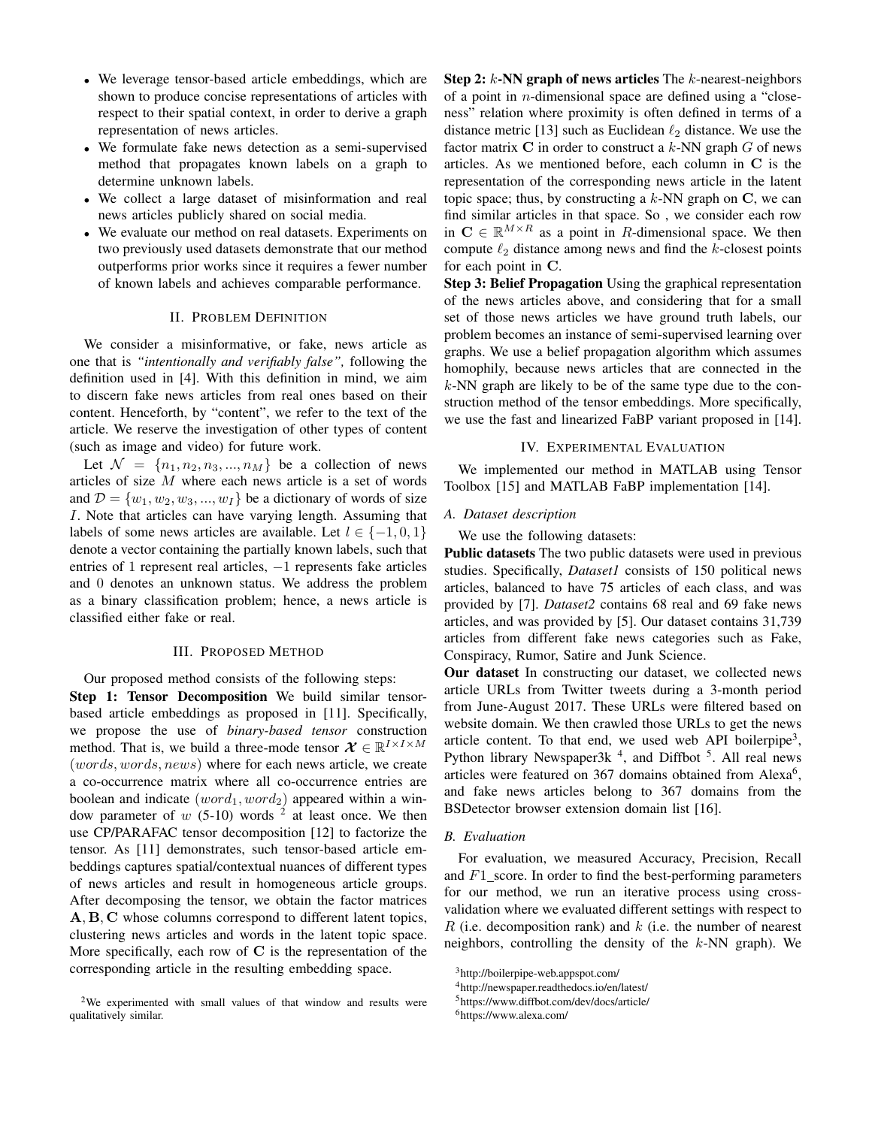- We leverage tensor-based article embeddings, which are shown to produce concise representations of articles with respect to their spatial context, in order to derive a graph representation of news articles.
- We formulate fake news detection as a semi-supervised method that propagates known labels on a graph to determine unknown labels.
- We collect a large dataset of misinformation and real news articles publicly shared on social media.
- We evaluate our method on real datasets. Experiments on two previously used datasets demonstrate that our method outperforms prior works since it requires a fewer number of known labels and achieves comparable performance.

# II. PROBLEM DEFINITION

We consider a misinformative, or fake, news article as one that is *"intentionally and verifiably false",* following the definition used in [4]. With this definition in mind, we aim to discern fake news articles from real ones based on their content. Henceforth, by "content", we refer to the text of the article. We reserve the investigation of other types of content (such as image and video) for future work.

Let  $\mathcal{N} = \{n_1, n_2, n_3, ..., n_M\}$  be a collection of news articles of size M where each news article is a set of words and  $\mathcal{D} = \{w_1, w_2, w_3, ..., w_I\}$  be a dictionary of words of size I. Note that articles can have varying length. Assuming that labels of some news articles are available. Let  $l \in \{-1, 0, 1\}$ denote a vector containing the partially known labels, such that entries of 1 represent real articles,  $-1$  represents fake articles and 0 denotes an unknown status. We address the problem as a binary classification problem; hence, a news article is classified either fake or real.

### III. PROPOSED METHOD

Our proposed method consists of the following steps: Step 1: Tensor Decomposition We build similar tensorbased article embeddings as proposed in [11]. Specifically, we propose the use of *binary-based tensor* construction method. That is, we build a three-mode tensor  $\mathcal{X} \in \mathbb{R}^{I \times I \times M}$ (words, words, news) where for each news article, we create a co-occurrence matrix where all co-occurrence entries are boolean and indicate  $(word_1, word_2)$  appeared within a window parameter of  $w$  (5-10) words <sup>2</sup> at least once. We then use CP/PARAFAC tensor decomposition [12] to factorize the tensor. As [11] demonstrates, such tensor-based article embeddings captures spatial/contextual nuances of different types of news articles and result in homogeneous article groups. After decomposing the tensor, we obtain the factor matrices A, B, C whose columns correspond to different latent topics, clustering news articles and words in the latent topic space. More specifically, each row of  $C$  is the representation of the corresponding article in the resulting embedding space.

Step 2:  $k$ -NN graph of news articles The  $k$ -nearest-neighbors of a point in *n*-dimensional space are defined using a "closeness" relation where proximity is often defined in terms of a distance metric [13] such as Euclidean  $\ell_2$  distance. We use the factor matrix  $C$  in order to construct a  $k$ -NN graph  $G$  of news articles. As we mentioned before, each column in C is the representation of the corresponding news article in the latent topic space; thus, by constructing a  $k$ -NN graph on C, we can find similar articles in that space. So , we consider each row in  $C \in \mathbb{R}^{M \times R}$  as a point in R-dimensional space. We then compute  $\ell_2$  distance among news and find the k-closest points for each point in C.

Step 3: Belief Propagation Using the graphical representation of the news articles above, and considering that for a small set of those news articles we have ground truth labels, our problem becomes an instance of semi-supervised learning over graphs. We use a belief propagation algorithm which assumes homophily, because news articles that are connected in the  $k$ -NN graph are likely to be of the same type due to the construction method of the tensor embeddings. More specifically, we use the fast and linearized FaBP variant proposed in [14].

## IV. EXPERIMENTAL EVALUATION

We implemented our method in MATLAB using Tensor Toolbox [15] and MATLAB FaBP implementation [14].

## *A. Dataset description*

We use the following datasets:

Public datasets The two public datasets were used in previous studies. Specifically, *Dataset1* consists of 150 political news articles, balanced to have 75 articles of each class, and was provided by [7]. *Dataset2* contains 68 real and 69 fake news articles, and was provided by [5]. Our dataset contains 31,739 articles from different fake news categories such as Fake, Conspiracy, Rumor, Satire and Junk Science.

Our dataset In constructing our dataset, we collected news article URLs from Twitter tweets during a 3-month period from June-August 2017. These URLs were filtered based on website domain. We then crawled those URLs to get the news article content. To that end, we used web API boilerpipe<sup>3</sup>, Python library Newspaper3k<sup>4</sup>, and Diffbot<sup>5</sup>. All real news articles were featured on  $367$  domains obtained from Alexa<sup>6</sup>, and fake news articles belong to 367 domains from the BSDetector browser extension domain list [16].

# *B. Evaluation*

For evaluation, we measured Accuracy, Precision, Recall and  $F1$ <sub>-score</sub>. In order to find the best-performing parameters for our method, we run an iterative process using crossvalidation where we evaluated different settings with respect to R (i.e. decomposition rank) and  $k$  (i.e. the number of nearest neighbors, controlling the density of the  $k$ -NN graph). We

<sup>2</sup>We experimented with small values of that window and results were qualitatively similar.

<sup>3</sup>http://boilerpipe-web.appspot.com/

<sup>4</sup>http://newspaper.readthedocs.io/en/latest/

<sup>5</sup>https://www.diffbot.com/dev/docs/article/

<sup>6</sup>https://www.alexa.com/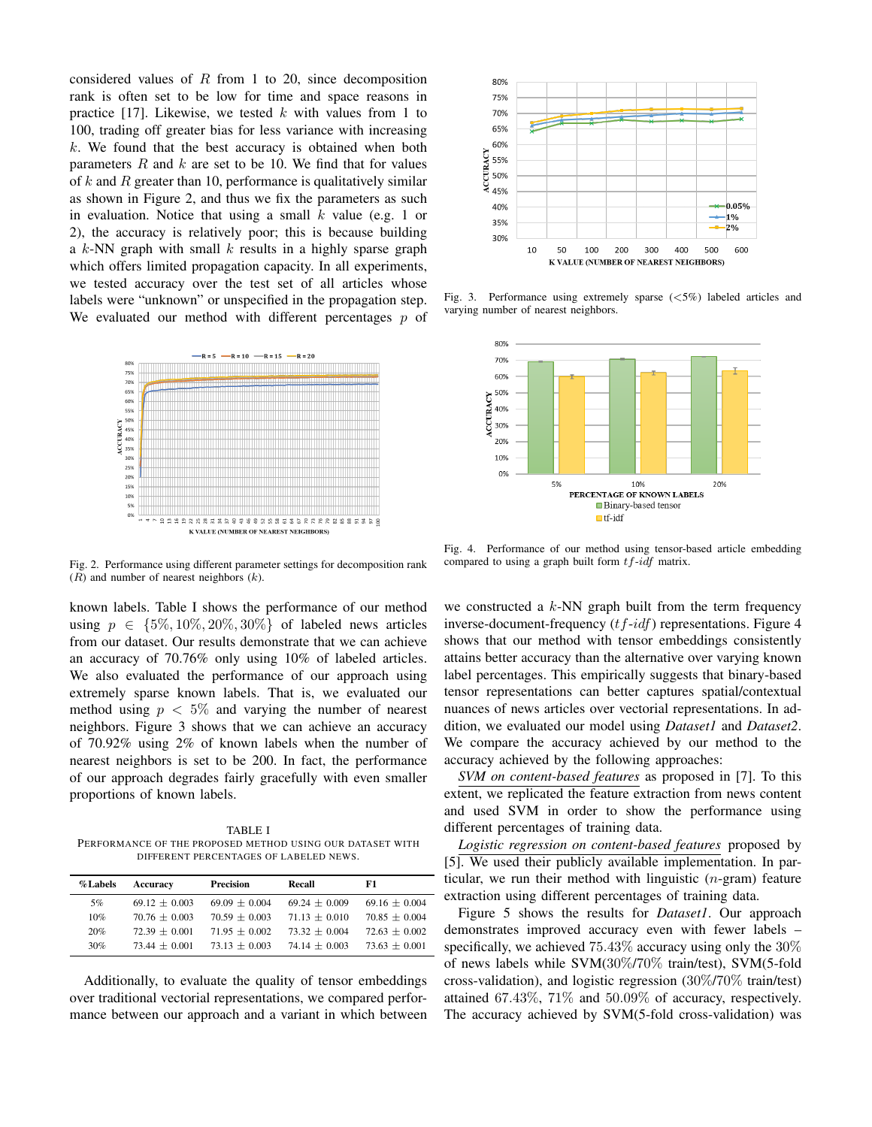considered values of  $R$  from 1 to 20, since decomposition rank is often set to be low for time and space reasons in practice [17]. Likewise, we tested  $k$  with values from 1 to 100, trading off greater bias for less variance with increasing  $k$ . We found that the best accuracy is obtained when both parameters  $R$  and  $k$  are set to be 10. We find that for values of  $k$  and  $R$  greater than 10, performance is qualitatively similar as shown in Figure 2, and thus we fix the parameters as such in evaluation. Notice that using a small  $k$  value (e.g. 1 or 2), the accuracy is relatively poor; this is because building a  $k$ -NN graph with small  $k$  results in a highly sparse graph which offers limited propagation capacity. In all experiments, we tested accuracy over the test set of all articles whose labels were "unknown" or unspecified in the propagation step. We evaluated our method with different percentages  $p$  of



Fig. 2. Performance using different parameter settings for decomposition rank  $(R)$  and number of nearest neighbors  $(k)$ .

known labels. Table I shows the performance of our method using  $p \in \{5\%, 10\%, 20\%, 30\%\}$  of labeled news articles from our dataset. Our results demonstrate that we can achieve an accuracy of 70.76% only using 10% of labeled articles. We also evaluated the performance of our approach using extremely sparse known labels. That is, we evaluated our method using  $p < 5\%$  and varying the number of nearest neighbors. Figure 3 shows that we can achieve an accuracy of 70.92% using 2% of known labels when the number of nearest neighbors is set to be 200. In fact, the performance of our approach degrades fairly gracefully with even smaller proportions of known labels.

TABLE I PERFORMANCE OF THE PROPOSED METHOD USING OUR DATASET WITH DIFFERENT PERCENTAGES OF LABELED NEWS.

| %Labels | Accuracy          | <b>Precision</b>  | Recall          | F1                |
|---------|-------------------|-------------------|-----------------|-------------------|
| 5%      | $69.12 \pm 0.003$ | $69.09 \pm 0.004$ | $69.24 + 0.009$ | $69.16 \pm 0.004$ |
| 10%     | $70.76 + 0.003$   | $70.59 + 0.003$   | $71.13 + 0.010$ | $70.85 + 0.004$   |
| 20%     | $72.39 + 0.001$   | $71.95 + 0.002$   | $73.32 + 0.004$ | $72.63 + 0.002$   |
| 30%     | $73.44 + 0.001$   | $73.13 + 0.003$   | $74.14 + 0.003$ | $73.63 + 0.001$   |

Additionally, to evaluate the quality of tensor embeddings over traditional vectorial representations, we compared performance between our approach and a variant in which between



Fig. 3. Performance using extremely sparse (<5%) labeled articles and varying number of nearest neighbors.



Fig. 4. Performance of our method using tensor-based article embedding compared to using a graph built form  $tf-idf$  matrix.

we constructed a  $k$ -NN graph built from the term frequency inverse-document-frequency  $(tf-idf)$  representations. Figure 4 shows that our method with tensor embeddings consistently attains better accuracy than the alternative over varying known label percentages. This empirically suggests that binary-based tensor representations can better captures spatial/contextual nuances of news articles over vectorial representations. In addition, we evaluated our model using *Dataset1* and *Dataset2*. We compare the accuracy achieved by our method to the accuracy achieved by the following approaches:

*SVM on content-based features* as proposed in [7]. To this extent, we replicated the feature extraction from news content and used SVM in order to show the performance using different percentages of training data.

*Logistic regression on content-based features* proposed by [5]. We used their publicly available implementation. In particular, we run their method with linguistic  $(n$ -gram) feature extraction using different percentages of training data.

Figure 5 shows the results for *Dataset1*. Our approach demonstrates improved accuracy even with fewer labels – specifically, we achieved 75.43% accuracy using only the 30% of news labels while SVM(30%/70% train/test), SVM(5-fold cross-validation), and logistic regression (30%/70% train/test) attained 67.43%, 71% and 50.09% of accuracy, respectively. The accuracy achieved by SVM(5-fold cross-validation) was